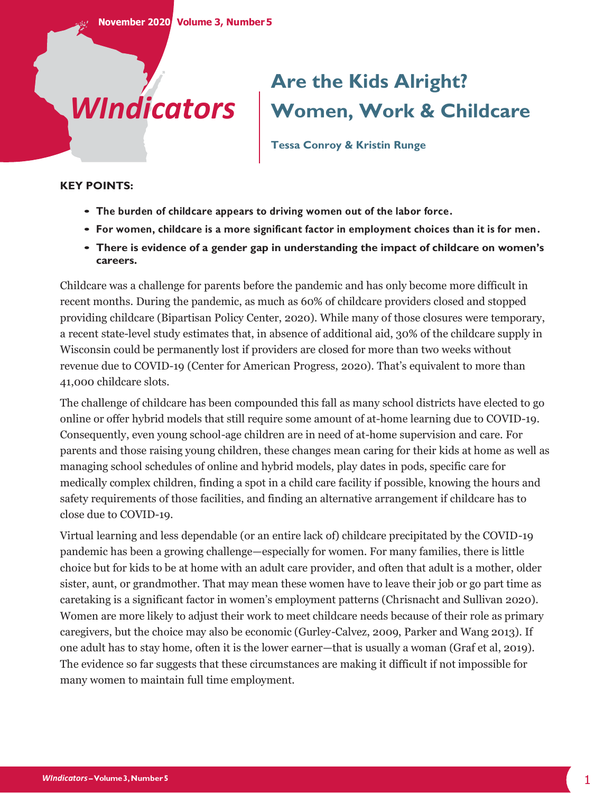# *WIndicators*

# **Are the Kids Alright? Women, Work & Childcare**

**Tessa Conroy & Kristin Runge**

#### **KEY POINTS:**

- **• The burden of childcare appears to driving women out of the labor force.**
- **• For women, childcare is a more significant factor in employment choices than it is for men.**
- **• There is evidence of a gender gap in understanding the impact of childcare on women's careers.**

Childcare was a challenge for parents before the pandemic and has only become more difficult in recent months. During the pandemic, as much as 60% of childcare providers closed and stopped providing childcare (Bipartisan Policy Center, 2020). While many of those closures were temporary, a recent state-level study estimates that, in absence of additional aid, 30% of the childcare supply in Wisconsin could be permanently lost if providers are closed for more than two weeks without revenue due to COVID-19 (Center for American Progress, 2020). That's equivalent to more than 41,000 childcare slots.

The challenge of childcare has been compounded this fall as many school districts have elected to go online or offer hybrid models that still require some amount of at-home learning due to COVID-19. Consequently, even young school-age children are in need of at-home supervision and care. For parents and those raising young children, these changes mean caring for their kids at home as well as managing school schedules of online and hybrid models, play dates in pods, specific care for medically complex children, finding a spot in a child care facility if possible, knowing the hours and safety requirements of those facilities, and finding an alternative arrangement if childcare has to close due to COVID-19.

Virtual learning and less dependable (or an entire lack of) childcare precipitated by the COVID-19 pandemic has been a growing challenge—especially for women. For many families, there is little choice but for kids to be at home with an adult care provider, and often that adult is a mother, older sister, aunt, or grandmother. That may mean these women have to leave their job or go part time as caretaking is a significant factor in women's employment patterns (Chrisnacht and Sullivan 2020). Women are more likely to adjust their work to meet childcare needs because of their role as primary caregivers, but the choice may also be economic (Gurley-Calvez, 2009, Parker and Wang 2013). If one adult has to stay home, often it is the lower earner—that is usually a woman (Graf et al, 2019). The evidence so far suggests that these circumstances are making it difficult if not impossible for many women to maintain full time employment.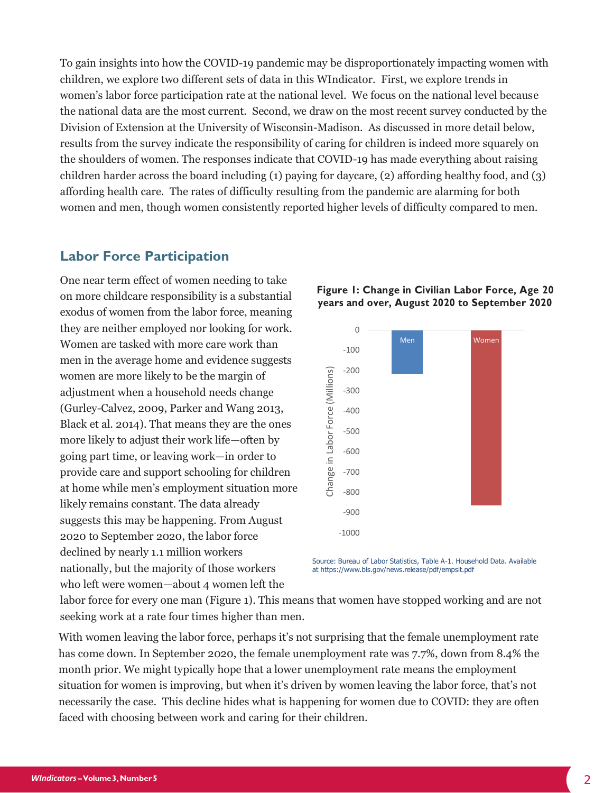To gain insights into how the COVID-19 pandemic may be disproportionately impacting women with children, we explore two different sets of data in this WIndicator. First, we explore trends in women's labor force participation rate at the national level. We focus on the national level because the national data are the most current. Second, we draw on the most recent survey conducted by the Division of Extension at the University of Wisconsin-Madison. As discussed in more detail below, results from the survey indicate the responsibility of caring for children is indeed more squarely on the shoulders of women. The responses indicate that COVID-19 has made everything about raising children harder across the board including (1) paying for daycare, (2) affording healthy food, and (3) affording health care. The rates of difficulty resulting from the pandemic are alarming for both women and men, though women consistently reported higher levels of difficulty compared to men.

#### **Labor Force Participation**

One near term effect of women needing to take on more childcare responsibility is a substantial exodus of women from the labor force, meaning they are neither employed nor looking for work. Women are tasked with more care work than men in the average home and evidence suggests women are more likely to be the margin of adjustment when a household needs change (Gurley-Calvez, 2009, Parker and Wang 2013, Black et al. 2014). That means they are the ones more likely to adjust their work life—often by going part time, or leaving work—in order to provide care and support schooling for children at home while men's employment situation more likely remains constant. The data already suggests this may be happening. From August 2020 to September 2020, the labor force declined by nearly 1.1 million workers nationally, but the majority of those workers who left were women—about 4 women left the



**Figure 1: Change in Civilian Labor Force, Age 20 years and over, August 2020 to September 2020**

Source: Bureau of Labor Statistics, Table A-1. Household Data. Available at https://www.bls.gov/news.release/pdf/empsit.pdf

labor force for every one man (Figure 1). This means that women have stopped working and are not seeking work at a rate four times higher than men.

With women leaving the labor force, perhaps it's not surprising that the female unemployment rate has come down. In September 2020, the female unemployment rate was 7.7%, down from 8.4% the month prior. We might typically hope that a lower unemployment rate means the employment situation for women is improving, but when it's driven by women leaving the labor force, that's not necessarily the case. This decline hides what is happening for women due to COVID: they are often faced with choosing between work and caring for their children.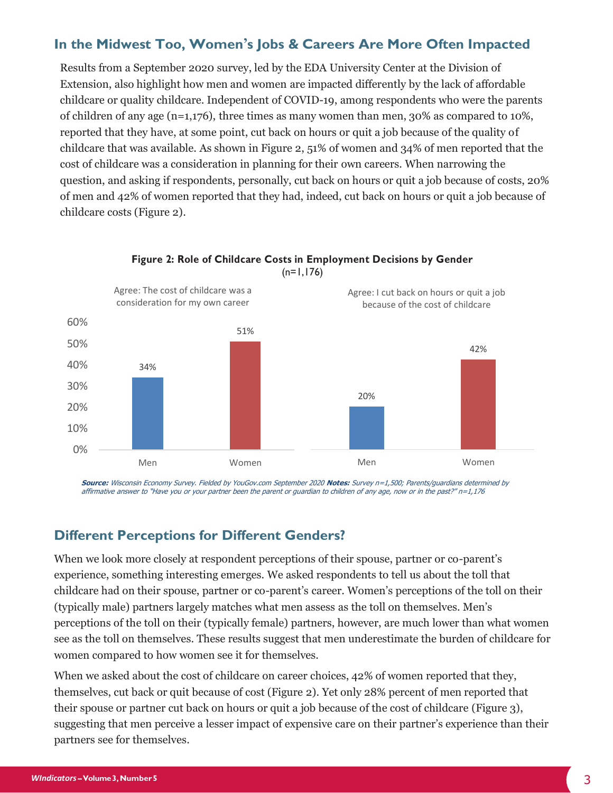# **In the Midwest Too, Women's Jobs & Careers Are More Often Impacted**

Results from a September 2020 survey, led by the EDA University Center at the Division of Extension, also highlight how men and women are impacted differently by the lack of affordable childcare or quality childcare. Independent of COVID-19, among respondents who were the parents of children of any age (n=1,176), three times as many women than men, 30% as compared to 10%, reported that they have, at some point, cut back on hours or quit a job because of the quality of childcare that was available. As shown in Figure 2, 51% of women and 34% of men reported that the cost of childcare was a consideration in planning for their own careers. When narrowing the question, and asking if respondents, personally, cut back on hours or quit a job because of costs, 20% of men and 42% of women reported that they had, indeed, cut back on hours or quit a job because of childcare costs (Figure 2).



#### **Figure 2: Role of Childcare Costs in Employment Decisions by Gender**  $(n=1,176)$

**Source:** Wisconsin Economy Survey. Fielded by YouGov.com September 2020 **Notes:** Survey n=1,500; Parents/guardians determined by affirmative answer to "Have you or your partner been the parent or guardian to children of any age, now or in the past?" n=1,176

## **Different Perceptions for Different Genders?**

When we look more closely at respondent perceptions of their spouse, partner or co-parent's experience, something interesting emerges. We asked respondents to tell us about the toll that childcare had on their spouse, partner or co-parent's career. Women's perceptions of the toll on their (typically male) partners largely matches what men assess as the toll on themselves. Men's perceptions of the toll on their (typically female) partners, however, are much lower than what women see as the toll on themselves. These results suggest that men underestimate the burden of childcare for women compared to how women see it for themselves.

When we asked about the cost of childcare on career choices, 42% of women reported that they, themselves, cut back or quit because of cost (Figure 2). Yet only 28% percent of men reported that their spouse or partner cut back on hours or quit a job because of the cost of childcare (Figure 3), suggesting that men perceive a lesser impact of expensive care on their partner's experience than their partners see for themselves.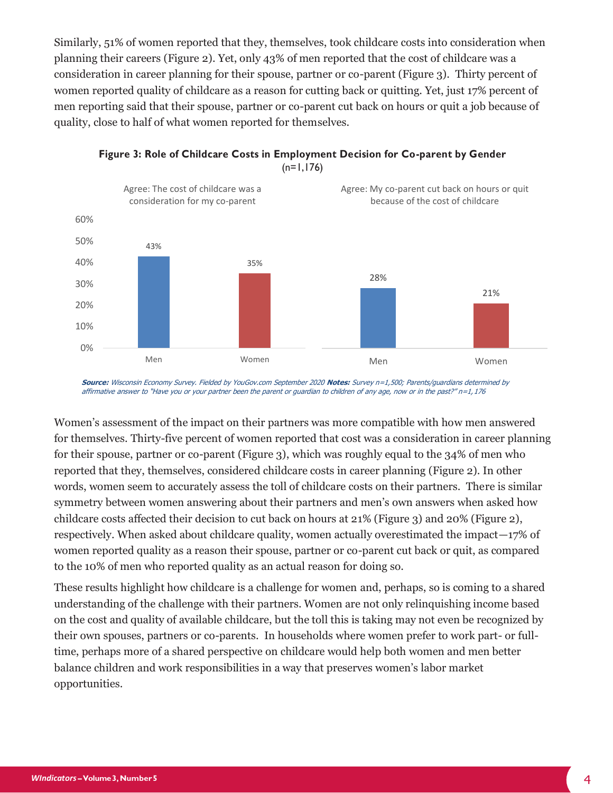Similarly, 51% of women reported that they, themselves, took childcare costs into consideration when planning their careers (Figure 2). Yet, only 43% of men reported that the cost of childcare was a consideration in career planning for their spouse, partner or co-parent (Figure 3). Thirty percent of women reported quality of childcare as a reason for cutting back or quitting. Yet, just 17% percent of men reporting said that their spouse, partner or co-parent cut back on hours or quit a job because of quality, close to half of what women reported for themselves.



**Figure 3: Role of Childcare Costs in Employment Decision for Co-parent by Gender**  $(n=1,176)$ 

**Source:** Wisconsin Economy Survey. Fielded by YouGov.com September 2020 **Notes:** Survey n=1,500; Parents/guardians determined by affirmative answer to "Have you or your partner been the parent or guardian to children of any age, now or in the past?" n=1,176

Women's assessment of the impact on their partners was more compatible with how men answered for themselves. Thirty-five percent of women reported that cost was a consideration in career planning for their spouse, partner or co-parent (Figure 3), which was roughly equal to the 34% of men who reported that they, themselves, considered childcare costs in career planning (Figure 2). In other words, women seem to accurately assess the toll of childcare costs on their partners. There is similar symmetry between women answering about their partners and men's own answers when asked how childcare costs affected their decision to cut back on hours at 21% (Figure 3) and 20% (Figure 2), respectively. When asked about childcare quality, women actually overestimated the impact—17% of women reported quality as a reason their spouse, partner or co-parent cut back or quit, as compared to the 10% of men who reported quality as an actual reason for doing so.

These results highlight how childcare is a challenge for women and, perhaps, so is coming to a shared understanding of the challenge with their partners. Women are not only relinquishing income based on the cost and quality of available childcare, but the toll this is taking may not even be recognized by their own spouses, partners or co-parents. In households where women prefer to work part- or fulltime, perhaps more of a shared perspective on childcare would help both women and men better balance children and work responsibilities in a way that preserves women's labor market opportunities.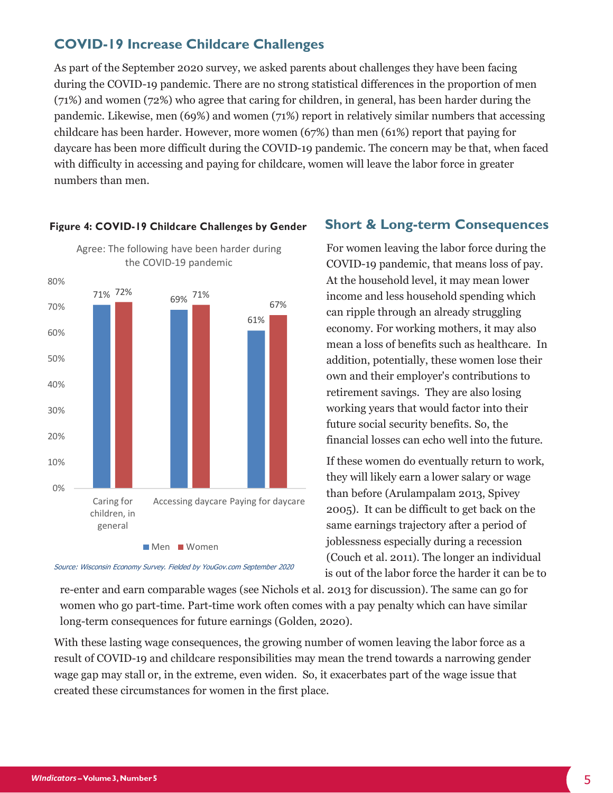# **COVID-19 Increase Childcare Challenges**

As part of the September 2020 survey, we asked parents about challenges they have been facing during the COVID-19 pandemic. There are no strong statistical differences in the proportion of men (71%) and women (72%) who agree that caring for children, in general, has been harder during the pandemic. Likewise, men (69%) and women (71%) report in relatively similar numbers that accessing childcare has been harder. However, more women (67%) than men (61%) report that paying for daycare has been more difficult during the COVID-19 pandemic. The concern may be that, when faced with difficulty in accessing and paying for childcare, women will leave the labor force in greater numbers than men.



#### **Figure 4: COVID-19 Childcare Challenges by Gender**

**Short & Long-term Consequences**

For women leaving the labor force during the COVID-19 pandemic, that means loss of pay. At the household level, it may mean lower income and less household spending which can ripple through an already struggling economy. For working mothers, it may also mean a loss of benefits such as healthcare. In addition, potentially, these women lose their own and their employer's contributions to retirement savings. They are also losing working years that would factor into their future social security benefits. So, the financial losses can echo well into the future.

If these women do eventually return to work, they will likely earn a lower salary or wage than before (Arulampalam 2013, Spivey 2005). It can be difficult to get back on the same earnings trajectory after a period of joblessness especially during a recession (Couch et al. 2011). The longer an individual is out of the labor force the harder it can be to

Source: Wisconsin Economy Survey. Fielded by YouGov.com September 2020

re-enter and earn comparable wages (see Nichols et al. 2013 for discussion). The same can go for women who go part-time. Part-time work often comes with a pay penalty which can have similar long-term consequences for future earnings (Golden, 2020).

With these lasting wage consequences, the growing number of women leaving the labor force as a result of COVID-19 and childcare responsibilities may mean the trend towards a narrowing gender wage gap may stall or, in the extreme, even widen. So, it exacerbates part of the wage issue that created these circumstances for women in the first place.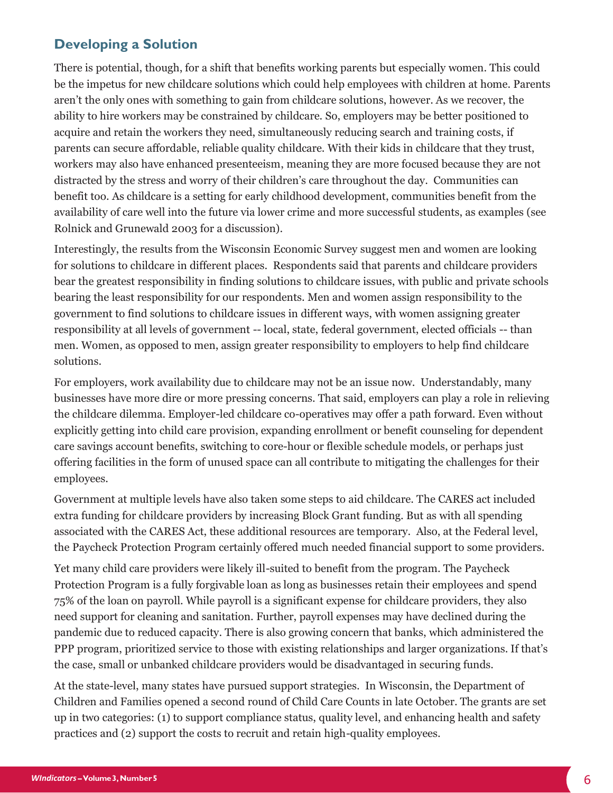# **Developing a Solution**

There is potential, though, for a shift that benefits working parents but especially women. This could be the impetus for new childcare solutions which could help employees with children at home. Parents aren't the only ones with something to gain from childcare solutions, however. As we recover, the ability to hire workers may be constrained by childcare. So, employers may be better positioned to acquire and retain the workers they need, simultaneously reducing search and training costs, if parents can secure affordable, reliable quality childcare. With their kids in childcare that they trust, workers may also have enhanced presenteeism, meaning they are more focused because they are not distracted by the stress and worry of their children's care throughout the day. Communities can benefit too. As childcare is a setting for early childhood development, communities benefit from the availability of care well into the future via lower crime and more successful students, as examples (see Rolnick and Grunewald 2003 for a discussion).

Interestingly, the results from the Wisconsin Economic Survey suggest men and women are looking for solutions to childcare in different places. Respondents said that parents and childcare providers bear the greatest responsibility in finding solutions to childcare issues, with public and private schools bearing the least responsibility for our respondents. Men and women assign responsibility to the government to find solutions to childcare issues in different ways, with women assigning greater responsibility at all levels of government -- local, state, federal government, elected officials -- than men. Women, as opposed to men, assign greater responsibility to employers to help find childcare solutions.

For employers, work availability due to childcare may not be an issue now. Understandably, many businesses have more dire or more pressing concerns. That said, employers can play a role in relieving the childcare dilemma. Employer-led childcare co-operatives may offer a path forward. Even without explicitly getting into child care provision, expanding enrollment or benefit counseling for dependent care savings account benefits, switching to core-hour or flexible schedule models, or perhaps just offering facilities in the form of unused space can all contribute to mitigating the challenges for their employees.

Government at multiple levels have also taken some steps to aid childcare. The CARES act included extra funding for childcare providers by increasing Block Grant funding. But as with all spending associated with the CARES Act, these additional resources are temporary. Also, at the Federal level, the Paycheck Protection Program certainly offered much needed financial support to some providers.

Yet many child care providers were likely ill-suited to benefit from the program. The Paycheck Protection Program is a fully forgivable loan as long as businesses retain their employees and spend 75% of the loan on payroll. While payroll is a significant expense for childcare providers, they also need support for cleaning and sanitation. Further, payroll expenses may have declined during the pandemic due to reduced capacity. There is also growing concern that banks, which administered the PPP program, prioritized service to those with existing relationships and larger organizations. If that's the case, small or unbanked childcare providers would be disadvantaged in securing funds.

At the state-level, many states have pursued support strategies. In Wisconsin, the Department of Children and Families opened a second round of Child Care Counts in late October. The grants are set up in two categories: (1) to support compliance status, quality level, and enhancing health and safety practices and (2) support the costs to recruit and retain high-quality employees.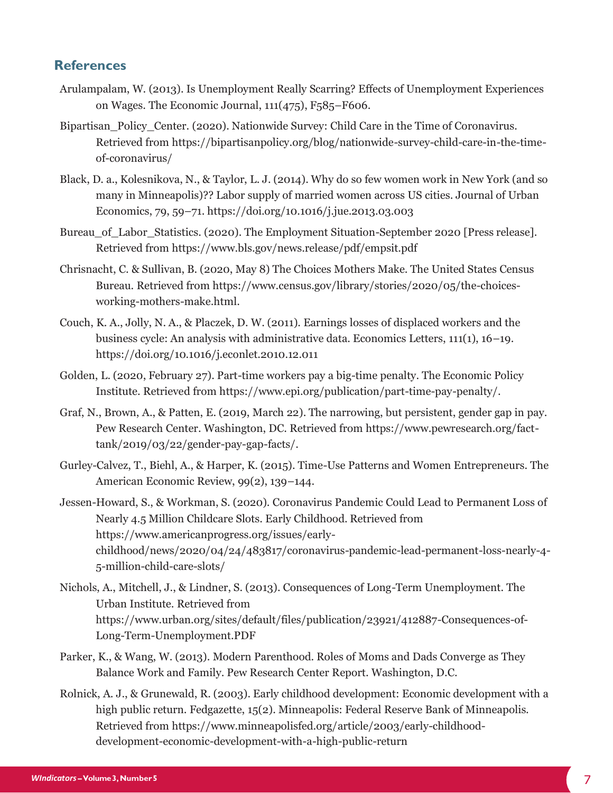### **References**

- Arulampalam, W. (2013). Is Unemployment Really Scarring? Effects of Unemployment Experiences on Wages. The Economic Journal,  $111(475)$ ,  $F_585-F606$ .
- Bipartisan Policy Center. (2020). Nationwide Survey: Child Care in the Time of Coronavirus. Retrieved from https://bipartisanpolicy.org/blog/nationwide-survey-child-care-in-the-timeof-coronavirus/
- Black, D. a., Kolesnikova, N., & Taylor, L. J. (2014). Why do so few women work in New York (and so many in Minneapolis)?? Labor supply of married women across US cities. Journal of Urban Economics, 79, 59–71. https://doi.org/10.1016/j.jue.2013.03.003
- Bureau of Labor Statistics. (2020). The Employment Situation-September 2020 [Press release]. Retrieved from https://www.bls.gov/news.release/pdf/empsit.pdf
- Chrisnacht, C. & Sullivan, B. (2020, May 8) The Choices Mothers Make. The United States Census Bureau. Retrieved from https://www.census.gov/library/stories/2020/05/the-choicesworking-mothers-make.html.
- Couch, K. A., Jolly, N. A., & Placzek, D. W. (2011). Earnings losses of displaced workers and the business cycle: An analysis with administrative data. Economics Letters,  $111(1)$ ,  $16-19$ . https://doi.org/10.1016/j.econlet.2010.12.011
- Golden, L. (2020, February 27). Part-time workers pay a big-time penalty. The Economic Policy Institute. Retrieved from https://www.epi.org/publication/part-time-pay-penalty/.
- Graf, N., Brown, A., & Patten, E. (2019, March 22). The narrowing, but persistent, gender gap in pay. Pew Research Center. Washington, DC. Retrieved from https://www.pewresearch.org/facttank/2019/03/22/gender-pay-gap-facts/.
- Gurley-Calvez, T., Biehl, A., & Harper, K. (2015). Time-Use Patterns and Women Entrepreneurs. The American Economic Review, 99(2), 139–144.
- Jessen-Howard, S., & Workman, S. (2020). Coronavirus Pandemic Could Lead to Permanent Loss of Nearly 4.5 Million Childcare Slots. Early Childhood. Retrieved from https://www.americanprogress.org/issues/earlychildhood/news/2020/04/24/483817/coronavirus-pandemic-lead-permanent-loss-nearly-4- 5-million-child-care-slots/
- Nichols, A., Mitchell, J., & Lindner, S. (2013). Consequences of Long-Term Unemployment. The Urban Institute. Retrieved from https://www.urban.org/sites/default/files/publication/23921/412887-Consequences-of-Long-Term-Unemployment.PDF
- Parker, K., & Wang, W. (2013). Modern Parenthood. Roles of Moms and Dads Converge as They Balance Work and Family. Pew Research Center Report. Washington, D.C.
- Rolnick, A. J., & Grunewald, R. (2003). Early childhood development: Economic development with a high public return. Fedgazette, 15(2). Minneapolis: Federal Reserve Bank of Minneapolis. Retrieved from https://www.minneapolisfed.org/article/2003/early-childhooddevelopment-economic-development-with-a-high-public-return